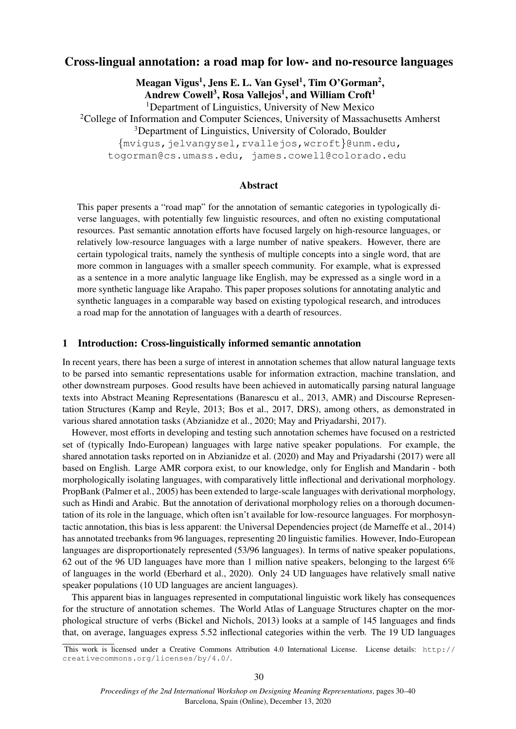# Cross-lingual annotation: a road map for low- and no-resource languages

Meagan Vigus<sup>1</sup>, Jens E. L. Van Gysel<sup>1</sup>, Tim O'Gorman<sup>2</sup>, Andrew Cowell<sup>3</sup>, Rosa Vallejos<sup>1</sup>, and William Croft<sup>1</sup> <sup>1</sup>Department of Linguistics, University of New Mexico <sup>2</sup>College of Information and Computer Sciences, University of Massachusetts Amherst <sup>3</sup>Department of Linguistics, University of Colorado, Boulder {mvigus,jelvangysel,rvallejos,wcroft}@unm.edu,

togorman@cs.umass.edu, james.cowell@colorado.edu

## Abstract

This paper presents a "road map" for the annotation of semantic categories in typologically diverse languages, with potentially few linguistic resources, and often no existing computational resources. Past semantic annotation efforts have focused largely on high-resource languages, or relatively low-resource languages with a large number of native speakers. However, there are certain typological traits, namely the synthesis of multiple concepts into a single word, that are more common in languages with a smaller speech community. For example, what is expressed as a sentence in a more analytic language like English, may be expressed as a single word in a more synthetic language like Arapaho. This paper proposes solutions for annotating analytic and synthetic languages in a comparable way based on existing typological research, and introduces a road map for the annotation of languages with a dearth of resources.

## 1 Introduction: Cross-linguistically informed semantic annotation

In recent years, there has been a surge of interest in annotation schemes that allow natural language texts to be parsed into semantic representations usable for information extraction, machine translation, and other downstream purposes. Good results have been achieved in automatically parsing natural language texts into Abstract Meaning Representations (Banarescu et al., 2013, AMR) and Discourse Representation Structures (Kamp and Reyle, 2013; Bos et al., 2017, DRS), among others, as demonstrated in various shared annotation tasks (Abzianidze et al., 2020; May and Priyadarshi, 2017).

However, most efforts in developing and testing such annotation schemes have focused on a restricted set of (typically Indo-European) languages with large native speaker populations. For example, the shared annotation tasks reported on in Abzianidze et al. (2020) and May and Priyadarshi (2017) were all based on English. Large AMR corpora exist, to our knowledge, only for English and Mandarin - both morphologically isolating languages, with comparatively little inflectional and derivational morphology. PropBank (Palmer et al., 2005) has been extended to large-scale languages with derivational morphology, such as Hindi and Arabic. But the annotation of derivational morphology relies on a thorough documentation of its role in the language, which often isn't available for low-resource languages. For morphosyntactic annotation, this bias is less apparent: the Universal Dependencies project (de Marneffe et al., 2014) has annotated treebanks from 96 languages, representing 20 linguistic families. However, Indo-European languages are disproportionately represented (53/96 languages). In terms of native speaker populations, 62 out of the 96 UD languages have more than 1 million native speakers, belonging to the largest 6% of languages in the world (Eberhard et al., 2020). Only 24 UD languages have relatively small native speaker populations (10 UD languages are ancient languages).

This apparent bias in languages represented in computational linguistic work likely has consequences for the structure of annotation schemes. The World Atlas of Language Structures chapter on the morphological structure of verbs (Bickel and Nichols, 2013) looks at a sample of 145 languages and finds that, on average, languages express 5.52 inflectional categories within the verb. The 19 UD languages

This work is licensed under a Creative Commons Attribution 4.0 International License. License details: http:// creativecommons.org/licenses/by/4.0/.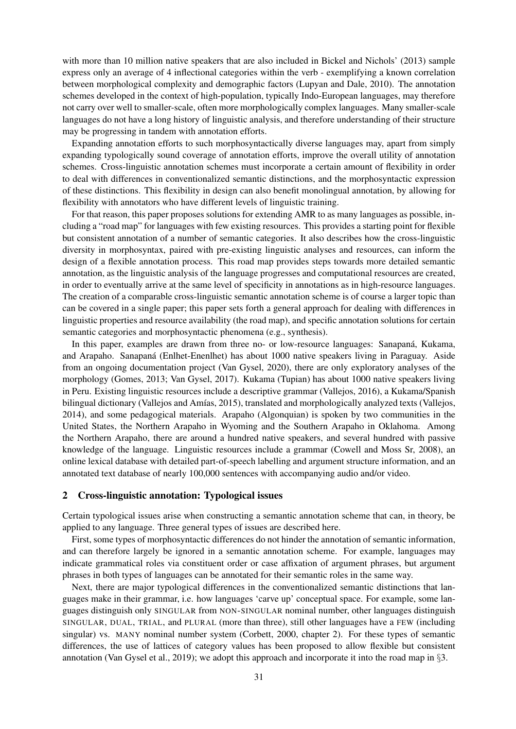with more than 10 million native speakers that are also included in Bickel and Nichols' (2013) sample express only an average of 4 inflectional categories within the verb - exemplifying a known correlation between morphological complexity and demographic factors (Lupyan and Dale, 2010). The annotation schemes developed in the context of high-population, typically Indo-European languages, may therefore not carry over well to smaller-scale, often more morphologically complex languages. Many smaller-scale languages do not have a long history of linguistic analysis, and therefore understanding of their structure may be progressing in tandem with annotation efforts.

Expanding annotation efforts to such morphosyntactically diverse languages may, apart from simply expanding typologically sound coverage of annotation efforts, improve the overall utility of annotation schemes. Cross-linguistic annotation schemes must incorporate a certain amount of flexibility in order to deal with differences in conventionalized semantic distinctions, and the morphosyntactic expression of these distinctions. This flexibility in design can also benefit monolingual annotation, by allowing for flexibility with annotators who have different levels of linguistic training.

For that reason, this paper proposes solutions for extending AMR to as many languages as possible, including a "road map" for languages with few existing resources. This provides a starting point for flexible but consistent annotation of a number of semantic categories. It also describes how the cross-linguistic diversity in morphosyntax, paired with pre-existing linguistic analyses and resources, can inform the design of a flexible annotation process. This road map provides steps towards more detailed semantic annotation, as the linguistic analysis of the language progresses and computational resources are created, in order to eventually arrive at the same level of specificity in annotations as in high-resource languages. The creation of a comparable cross-linguistic semantic annotation scheme is of course a larger topic than can be covered in a single paper; this paper sets forth a general approach for dealing with differences in linguistic properties and resource availability (the road map), and specific annotation solutions for certain semantic categories and morphosyntactic phenomena (e.g., synthesis).

In this paper, examples are drawn from three no- or low-resource languages: Sanapaná, Kukama, and Arapaho. Sanapana (Enlhet-Enenlhet) has about 1000 native speakers living in Paraguay. Aside ´ from an ongoing documentation project (Van Gysel, 2020), there are only exploratory analyses of the morphology (Gomes, 2013; Van Gysel, 2017). Kukama (Tupian) has about 1000 native speakers living in Peru. Existing linguistic resources include a descriptive grammar (Vallejos, 2016), a Kukama/Spanish bilingual dictionary (Vallejos and Amías, 2015), translated and morphologically analyzed texts (Vallejos, 2014), and some pedagogical materials. Arapaho (Algonquian) is spoken by two communities in the United States, the Northern Arapaho in Wyoming and the Southern Arapaho in Oklahoma. Among the Northern Arapaho, there are around a hundred native speakers, and several hundred with passive knowledge of the language. Linguistic resources include a grammar (Cowell and Moss Sr, 2008), an online lexical database with detailed part-of-speech labelling and argument structure information, and an annotated text database of nearly 100,000 sentences with accompanying audio and/or video.

#### 2 Cross-linguistic annotation: Typological issues

Certain typological issues arise when constructing a semantic annotation scheme that can, in theory, be applied to any language. Three general types of issues are described here.

First, some types of morphosyntactic differences do not hinder the annotation of semantic information, and can therefore largely be ignored in a semantic annotation scheme. For example, languages may indicate grammatical roles via constituent order or case affixation of argument phrases, but argument phrases in both types of languages can be annotated for their semantic roles in the same way.

Next, there are major typological differences in the conventionalized semantic distinctions that languages make in their grammar, i.e. how languages 'carve up' conceptual space. For example, some languages distinguish only SINGULAR from NON-SINGULAR nominal number, other languages distinguish SINGULAR, DUAL, TRIAL, and PLURAL (more than three), still other languages have a FEW (including singular) vs. MANY nominal number system (Corbett, 2000, chapter 2). For these types of semantic differences, the use of lattices of category values has been proposed to allow flexible but consistent annotation (Van Gysel et al., 2019); we adopt this approach and incorporate it into the road map in §3.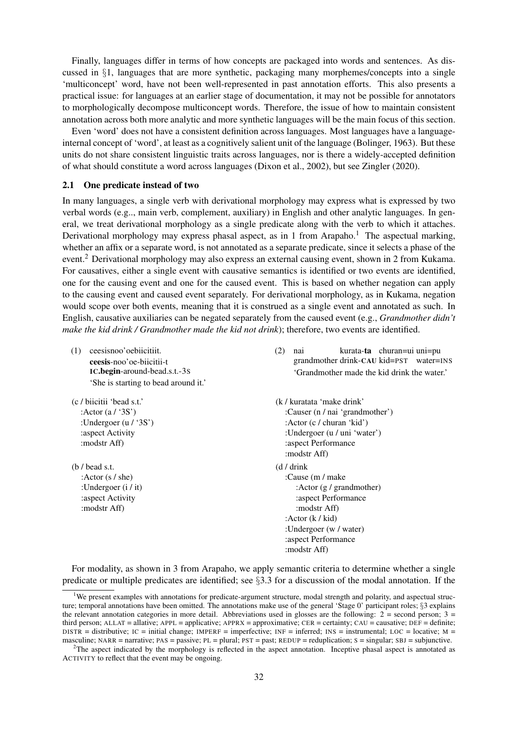Finally, languages differ in terms of how concepts are packaged into words and sentences. As discussed in  $\S1$ , languages that are more synthetic, packaging many morphemes/concepts into a single 'multiconcept' word, have not been well-represented in past annotation efforts. This also presents a practical issue: for languages at an earlier stage of documentation, it may not be possible for annotators to morphologically decompose multiconcept words. Therefore, the issue of how to maintain consistent annotation across both more analytic and more synthetic languages will be the main focus of this section.

Even 'word' does not have a consistent definition across languages. Most languages have a languageinternal concept of 'word', at least as a cognitively salient unit of the language (Bolinger, 1963). But these units do not share consistent linguistic traits across languages, nor is there a widely-accepted definition of what should constitute a word across languages (Dixon et al., 2002), but see Zingler (2020).

### 2.1 One predicate instead of two

In many languages, a single verb with derivational morphology may express what is expressed by two verbal words (e.g.., main verb, complement, auxiliary) in English and other analytic languages. In general, we treat derivational morphology as a single predicate along with the verb to which it attaches. Derivational morphology may express phasal aspect, as in 1 from Arapaho.<sup>1</sup> The aspectual marking, whether an affix or a separate word, is not annotated as a separate predicate, since it selects a phase of the event.<sup>2</sup> Derivational morphology may also express an external causing event, shown in 2 from Kukama. For causatives, either a single event with causative semantics is identified or two events are identified, one for the causing event and one for the caused event. This is based on whether negation can apply to the causing event and caused event separately. For derivational morphology, as in Kukama, negation would scope over both events, meaning that it is construed as a single event and annotated as such. In English, causative auxiliaries can be negated separately from the caused event (e.g., *Grandmother didn't make the kid drink / Grandmother made the kid not drink*); therefore, two events are identified.

- (1) ceesisnoo'oebiicitiit. ceesis-noo'oe-biicitii-t IC.begin-around-bead.s.t.-3S 'She is starting to bead around it.'
- (c / biicitii 'bead s.t.' :Actor (a / '3S') :Undergoer (u / '3S') :aspect Activity :modstr Aff)
- (b / bead s.t. :Actor (s / she) :Undergoer (i / it) :aspect Activity :modstr Aff)
- (2) nai grandmother drink-CAU kid=PST water=INS kurata-ta churan=ui uni=pu 'Grandmother made the kid drink the water.'
- (k / kuratata 'make drink' :Causer (n / nai 'grandmother') :Actor (c / churan 'kid') :Undergoer (u / uni 'water') :aspect Performance :modstr Aff) (d / drink :Cause (m / make :Actor (g / grandmother) :aspect Performance :modstr Aff) :Actor (k / kid) :Undergoer (w / water) :aspect Performance :modstr Aff)

For modality, as shown in 3 from Arapaho, we apply semantic criteria to determine whether a single predicate or multiple predicates are identified; see §3.3 for a discussion of the modal annotation. If the

 $1$ We present examples with annotations for predicate-argument structure, modal strength and polarity, and aspectual structure; temporal annotations have been omitted. The annotations make use of the general 'Stage 0' participant roles; §3 explains the relevant annotation categories in more detail. Abbreviations used in glosses are the following:  $2 =$  second person;  $3 =$ third person; ALLAT = allative; APPL = applicative; APPRX = approximative; CER = certainty; CAU = causative; DEF = definite; DISTR = distributive; IC = initial change; IMPERF = imperfective; INF = inferred; INS = instrumental; LOC = locative; M = masculine; NARR = narrative;  $PAS = passive$ ;  $PL = plural$ ;  $PST = past$ ;  $REDUP = reduplication$ ;  $S = singular$ ;  $SBI = subjunctive$ .

 $2$ The aspect indicated by the morphology is reflected in the aspect annotation. Inceptive phasal aspect is annotated as ACTIVITY to reflect that the event may be ongoing.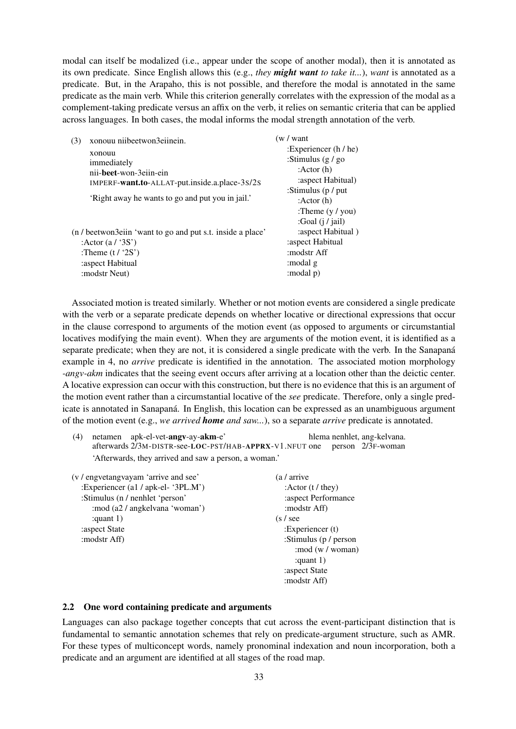modal can itself be modalized (i.e., appear under the scope of another modal), then it is annotated as its own predicate. Since English allows this (e.g., *they might want to take it...*), *want* is annotated as a predicate. But, in the Arapaho, this is not possible, and therefore the modal is annotated in the same predicate as the main verb. While this criterion generally correlates with the expression of the modal as a complement-taking predicate versus an affix on the verb, it relies on semantic criteria that can be applied across languages. In both cases, the modal informs the modal strength annotation of the verb.

| xonouu niibeetwon3eiinein.<br>(3)                          | (w / want)                |
|------------------------------------------------------------|---------------------------|
| xonouu                                                     | : Experiencer $(h / he)$  |
| immediately                                                | :Stimulus $(g/go)$        |
| nii- <b>beet</b> -won-3eiin-ein                            | : Actor $(h)$             |
| IMPERF-want.to-ALLAT-put.inside.a.place-3s/2s              | : aspect Habitual)        |
|                                                            | :Stimulus ( $p / put$     |
| 'Right away he wants to go and put you in jail.'           | : Actor $(h)$             |
|                                                            | :Theme $(y / you)$        |
|                                                            | :Goal $(i / \text{fail})$ |
| (n / beetwon3eiin 'want to go and put s.t. inside a place' | : aspect Habitual)        |
| : Actor $(a / 3S')$                                        | :aspect Habitual          |
| :Theme $(t/2S')$                                           | modstr Aff:               |
| : aspect Habitual                                          | :modal g                  |
| : modstr Neut)                                             | (modal p:                 |

Associated motion is treated similarly. Whether or not motion events are considered a single predicate with the verb or a separate predicate depends on whether locative or directional expressions that occur in the clause correspond to arguments of the motion event (as opposed to arguments or circumstantial locatives modifying the main event). When they are arguments of the motion event, it is identified as a separate predicate; when they are not, it is considered a single predicate with the verb. In the Sanapaná example in 4, no *arrive* predicate is identified in the annotation. The associated motion morphology *-angv-akm* indicates that the seeing event occurs after arriving at a location other than the deictic center. A locative expression can occur with this construction, but there is no evidence that this is an argument of the motion event rather than a circumstantial locative of the *see* predicate. Therefore, only a single predicate is annotated in Sanapana. In English, this location can be expressed as an unambiguous argument ´ of the motion event (e.g., *we arrived home and saw...*), so a separate *arrive* predicate is annotated.

|  | $(4)$ netamen apk-el-vet- <b>angv</b> -ay- <b>akm</b> -e'                       |  | hlema nenhlet, ang-kelvana. |
|--|---------------------------------------------------------------------------------|--|-----------------------------|
|  | afterwards $2/3$ M-DISTR-see-LOC-PST/HAB-APPRX-V1.NFUT one person $2/3$ F-woman |  |                             |
|  | 'Afterwards, they arrived and saw a person, a woman.'                           |  |                             |

| (v / engvetangvayam 'arrive and see' | (a / arrive                 |
|--------------------------------------|-----------------------------|
| :Experiencer (a1 / apk-el- '3PL.M')  | : Actor $(t / \text{they})$ |
| :Stimulus (n / nenhlet 'person'      | :aspect Performance         |
| :mod (a2 / angkelvana 'woman')       | :modstr Aff)                |
| : quant $1$ )                        | $(s / \text{see})$          |
| :aspect State                        | : Experiencer $(t)$         |
| : modstr Aff)                        | :Stimulus ( $p / person$    |
|                                      | $\mod(w / \text{woman})$    |
|                                      | : quant $1)$                |
|                                      | :aspect State               |
|                                      | :modstr Aff)                |

### 2.2 One word containing predicate and arguments

Languages can also package together concepts that cut across the event-participant distinction that is fundamental to semantic annotation schemes that rely on predicate-argument structure, such as AMR. For these types of multiconcept words, namely pronominal indexation and noun incorporation, both a predicate and an argument are identified at all stages of the road map.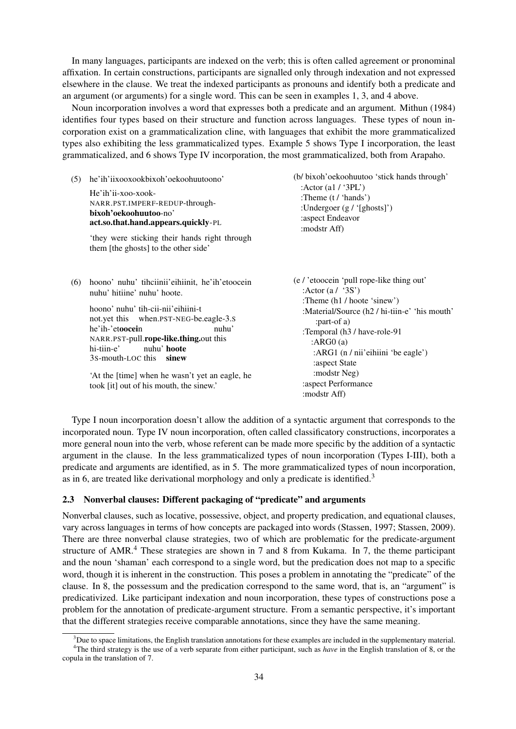In many languages, participants are indexed on the verb; this is often called agreement or pronominal affixation. In certain constructions, participants are signalled only through indexation and not expressed elsewhere in the clause. We treat the indexed participants as pronouns and identify both a predicate and an argument (or arguments) for a single word. This can be seen in examples 1, 3, and 4 above.

Noun incorporation involves a word that expresses both a predicate and an argument. Mithun (1984) identifies four types based on their structure and function across languages. These types of noun incorporation exist on a grammaticalization cline, with languages that exhibit the more grammaticalized types also exhibiting the less grammaticalized types. Example 5 shows Type I incorporation, the least grammaticalized, and 6 shows Type IV incorporation, the most grammaticalized, both from Arapaho.

(5) he'ih'iixooxookbixoh'oekoohuutoono'

He'ih'ii-xoo-xook-NARR.PST.IMPERF-REDUP-throughbixoh'oekoohuutoo-no' act.so.that.hand.appears.quickly-PL

'they were sticking their hands right through them [the ghosts] to the other side'

(6) hoono' nuhu' tihciinii'eihiinit, he'ih'etoocein nuhu' hitiine' nuhu' hoote.

> hoono' nuhu' tih-cii-nii'eihiini-t not.yet this when.PST-NEG-be.eagle-3.S he'ih-'etoocein NARR.PST-pull.**rope-like.thing.**out this nuhu' hi-tiin-e' 3s-mouth-LOC this sinew nuhu' hoote

'At the [time] when he wasn't yet an eagle, he took [it] out of his mouth, the sinew.'

(b/ bixoh'oekoohuutoo 'stick hands through' :Actor (a1 / '3PL') :Theme (t / 'hands') :Undergoer (g / '[ghosts]') :aspect Endeavor :modstr Aff)

(e / 'etoocein 'pull rope-like thing out' : Actor  $(a / '3S')$ :Theme (h1 / hoote 'sinew') :Material/Source (h2 / hi-tiin-e' 'his mouth' :part-of a) :Temporal (h3 / have-role-91 :ARG0 (a) :ARG1 (n / nii'eihiini 'be eagle') :aspect State :modstr Neg) :aspect Performance :modstr Aff)

Type I noun incorporation doesn't allow the addition of a syntactic argument that corresponds to the incorporated noun. Type IV noun incorporation, often called classificatory constructions, incorporates a more general noun into the verb, whose referent can be made more specific by the addition of a syntactic argument in the clause. In the less grammaticalized types of noun incorporation (Types I-III), both a predicate and arguments are identified, as in 5. The more grammaticalized types of noun incorporation, as in 6, are treated like derivational morphology and only a predicate is identified.<sup>3</sup>

## 2.3 Nonverbal clauses: Different packaging of "predicate" and arguments

Nonverbal clauses, such as locative, possessive, object, and property predication, and equational clauses, vary across languages in terms of how concepts are packaged into words (Stassen, 1997; Stassen, 2009). There are three nonverbal clause strategies, two of which are problematic for the predicate-argument structure of AMR. $4$  These strategies are shown in 7 and 8 from Kukama. In 7, the theme participant and the noun 'shaman' each correspond to a single word, but the predication does not map to a specific word, though it is inherent in the construction. This poses a problem in annotating the "predicate" of the clause. In 8, the possessum and the predication correspond to the same word, that is, an "argument" is predicativized. Like participant indexation and noun incorporation, these types of constructions pose a problem for the annotation of predicate-argument structure. From a semantic perspective, it's important that the different strategies receive comparable annotations, since they have the same meaning.

 $3$ Due to space limitations, the English translation annotations for these examples are included in the supplementary material. <sup>4</sup>The third strategy is the use of a verb separate from either participant, such as *have* in the English translation of 8, or the

copula in the translation of 7.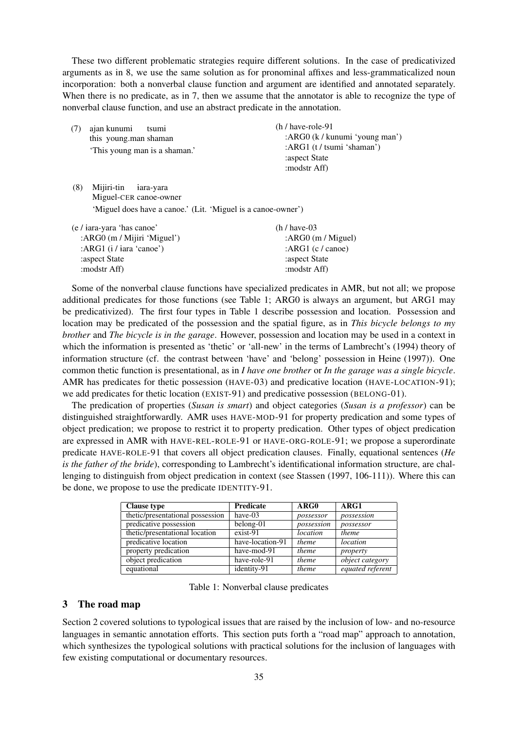These two different problematic strategies require different solutions. In the case of predicativized arguments as in 8, we use the same solution as for pronominal affixes and less-grammaticalized noun incorporation: both a nonverbal clause function and argument are identified and annotated separately. When there is no predicate, as in 7, then we assume that the annotator is able to recognize the type of nonverbal clause function, and use an abstract predicate in the annotation.

(7) ajan kunumi this young.man shaman tsumi 'This young man is a shaman.' (h / have-role-91 :ARG0 (k / kunumi 'young man') :ARG1 (t / tsumi 'shaman') :aspect State :modstr Aff)

(8) Mijiri-tin Miguel-CER canoe-owner iara-vara 'Miguel does have a canoe.' (Lit. 'Miguel is a canoe-owner')

| $(e / iara$ -yara 'has canoe'  | $(h / \text{have-}03)$    |
|--------------------------------|---------------------------|
| : $ARG0$ (m / Mijiri 'Miguel') | : $ARG0$ (m / Miguel)     |
| :ARG1 $(i / iara 'cano')$      | :ARG1 $(c / \text{cano})$ |
| aspect State:                  | :aspect State             |
| modstr Aff):                   | :modstr Aff)              |

Some of the nonverbal clause functions have specialized predicates in AMR, but not all; we propose additional predicates for those functions (see Table 1; ARG0 is always an argument, but ARG1 may be predicativized). The first four types in Table 1 describe possession and location. Possession and location may be predicated of the possession and the spatial figure, as in *This bicycle belongs to my brother* and *The bicycle is in the garage*. However, possession and location may be used in a context in which the information is presented as 'thetic' or 'all-new' in the terms of Lambrecht's (1994) theory of information structure (cf. the contrast between 'have' and 'belong' possession in Heine (1997)). One common thetic function is presentational, as in *I have one brother* or *In the garage was a single bicycle*. AMR has predicates for thetic possession (HAVE-03) and predicative location (HAVE-LOCATION-91); we add predicates for thetic location (EXIST-91) and predicative possession (BELONG-01).

The predication of properties (*Susan is smart*) and object categories (*Susan is a professor*) can be distinguished straightforwardly. AMR uses HAVE-MOD-91 for property predication and some types of object predication; we propose to restrict it to property predication. Other types of object predication are expressed in AMR with HAVE-REL-ROLE-91 or HAVE-ORG-ROLE-91; we propose a superordinate predicate HAVE-ROLE-91 that covers all object predication clauses. Finally, equational sentences (*He is the father of the bride*), corresponding to Lambrecht's identificational information structure, are challenging to distinguish from object predication in context (see Stassen (1997, 106-111)). Where this can be done, we propose to use the predicate IDENTITY-91.

| <b>Clause type</b>               | <b>Predicate</b> | ARG0       | ARG1                   |
|----------------------------------|------------------|------------|------------------------|
| thetic/presentational possession | have-03          | possessor  | possession             |
| predicative possession           | belong-01        | possession | possessor              |
| thetic/presentational location   | exist-91         | location   | theme                  |
| predicative location             | have-location-91 | theme      | location               |
| property predication             | have-mod-91      | theme      | property               |
| object predication               | have-role-91     | theme      | <i>object category</i> |
| equational                       | identity-91      | theme      | equated referent       |

|  |  |  | Table 1: Nonverbal clause predicates |
|--|--|--|--------------------------------------|
|--|--|--|--------------------------------------|

## 3 The road map

Section 2 covered solutions to typological issues that are raised by the inclusion of low- and no-resource languages in semantic annotation efforts. This section puts forth a "road map" approach to annotation, which synthesizes the typological solutions with practical solutions for the inclusion of languages with few existing computational or documentary resources.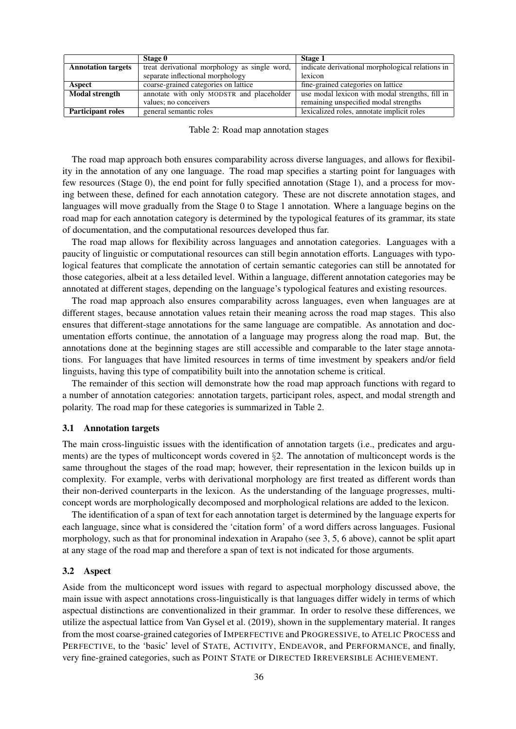|                           | Stage 0                                                                                           | Stage 1                                         |
|---------------------------|---------------------------------------------------------------------------------------------------|-------------------------------------------------|
| <b>Annotation targets</b> | indicate derivational morphological relations in<br>treat derivational morphology as single word, |                                                 |
|                           | separate inflectional morphology                                                                  | lexicon                                         |
| Aspect                    | coarse-grained categories on lattice                                                              | fine-grained categories on lattice              |
| <b>Modal strength</b>     | annotate with only MODSTR and placeholder                                                         | use modal lexicon with modal strengths, fill in |
|                           | values; no conceivers                                                                             | remaining unspecified modal strengths           |
| <b>Participant roles</b>  | general semantic roles                                                                            | lexicalized roles, annotate implicit roles      |

Table 2: Road map annotation stages

The road map approach both ensures comparability across diverse languages, and allows for flexibility in the annotation of any one language. The road map specifies a starting point for languages with few resources (Stage 0), the end point for fully specified annotation (Stage 1), and a process for moving between these, defined for each annotation category. These are not discrete annotation stages, and languages will move gradually from the Stage 0 to Stage 1 annotation. Where a language begins on the road map for each annotation category is determined by the typological features of its grammar, its state of documentation, and the computational resources developed thus far.

The road map allows for flexibility across languages and annotation categories. Languages with a paucity of linguistic or computational resources can still begin annotation efforts. Languages with typological features that complicate the annotation of certain semantic categories can still be annotated for those categories, albeit at a less detailed level. Within a language, different annotation categories may be annotated at different stages, depending on the language's typological features and existing resources.

The road map approach also ensures comparability across languages, even when languages are at different stages, because annotation values retain their meaning across the road map stages. This also ensures that different-stage annotations for the same language are compatible. As annotation and documentation efforts continue, the annotation of a language may progress along the road map. But, the annotations done at the beginning stages are still accessible and comparable to the later stage annotations. For languages that have limited resources in terms of time investment by speakers and/or field linguists, having this type of compatibility built into the annotation scheme is critical.

The remainder of this section will demonstrate how the road map approach functions with regard to a number of annotation categories: annotation targets, participant roles, aspect, and modal strength and polarity. The road map for these categories is summarized in Table 2.

### 3.1 Annotation targets

The main cross-linguistic issues with the identification of annotation targets (i.e., predicates and arguments) are the types of multiconcept words covered in §2. The annotation of multiconcept words is the same throughout the stages of the road map; however, their representation in the lexicon builds up in complexity. For example, verbs with derivational morphology are first treated as different words than their non-derived counterparts in the lexicon. As the understanding of the language progresses, multiconcept words are morphologically decomposed and morphological relations are added to the lexicon.

The identification of a span of text for each annotation target is determined by the language experts for each language, since what is considered the 'citation form' of a word differs across languages. Fusional morphology, such as that for pronominal indexation in Arapaho (see 3, 5, 6 above), cannot be split apart at any stage of the road map and therefore a span of text is not indicated for those arguments.

#### 3.2 Aspect

Aside from the multiconcept word issues with regard to aspectual morphology discussed above, the main issue with aspect annotations cross-linguistically is that languages differ widely in terms of which aspectual distinctions are conventionalized in their grammar. In order to resolve these differences, we utilize the aspectual lattice from Van Gysel et al. (2019), shown in the supplementary material. It ranges from the most coarse-grained categories of IMPERFECTIVE and PROGRESSIVE, to ATELIC PROCESS and PERFECTIVE, to the 'basic' level of STATE, ACTIVITY, ENDEAVOR, and PERFORMANCE, and finally, very fine-grained categories, such as POINT STATE or DIRECTED IRREVERSIBLE ACHIEVEMENT.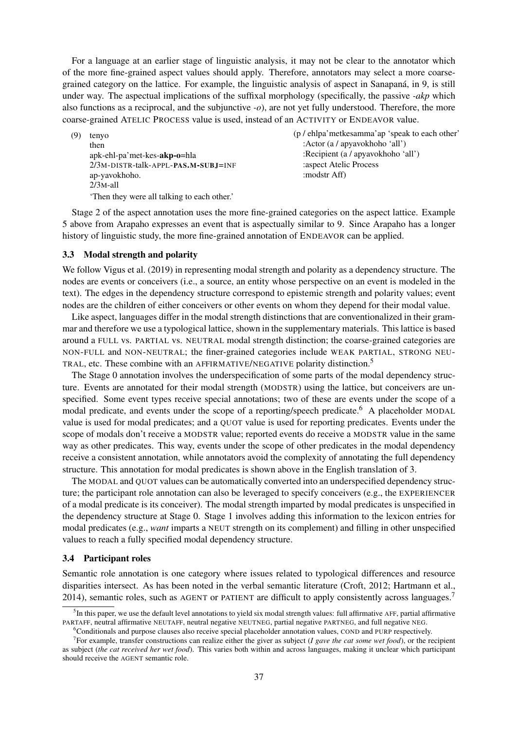For a language at an earlier stage of linguistic analysis, it may not be clear to the annotator which of the more fine-grained aspect values should apply. Therefore, annotators may select a more coarsegrained category on the lattice. For example, the linguistic analysis of aspect in Sanapana, in 9, is still ´ under way. The aspectual implications of the suffixal morphology (specifically, the passive *-akp* which also functions as a reciprocal, and the subjunctive *-o*), are not yet fully understood. Therefore, the more coarse-grained ATELIC PROCESS value is used, instead of an ACTIVITY or ENDEAVOR value.

(9) tenyo then apk-ehl-pa'met-kes-akp-o=hla 2/3M-DISTR-talk-APPL-PAS.M-SUBJ=INF ap-yavokhoho. 2/3M-all 'Then they were all talking to each other.' (p / ehlpa'metkesamma'ap 'speak to each other' :Actor (a / apyavokhoho 'all') :Recipient (a / apyavokhoho 'all') :aspect Atelic Process :modstr Aff)

Stage 2 of the aspect annotation uses the more fine-grained categories on the aspect lattice. Example 5 above from Arapaho expresses an event that is aspectually similar to 9. Since Arapaho has a longer history of linguistic study, the more fine-grained annotation of ENDEAVOR can be applied.

#### 3.3 Modal strength and polarity

We follow Vigus et al. (2019) in representing modal strength and polarity as a dependency structure. The nodes are events or conceivers (i.e., a source, an entity whose perspective on an event is modeled in the text). The edges in the dependency structure correspond to epistemic strength and polarity values; event nodes are the children of either conceivers or other events on whom they depend for their modal value.

Like aspect, languages differ in the modal strength distinctions that are conventionalized in their grammar and therefore we use a typological lattice, shown in the supplementary materials. This lattice is based around a FULL vs. PARTIAL vs. NEUTRAL modal strength distinction; the coarse-grained categories are NON-FULL and NON-NEUTRAL; the finer-grained categories include WEAK PARTIAL, STRONG NEU-TRAL, etc. These combine with an AFFIRMATIVE/NEGATIVE polarity distinction.<sup>5</sup>

The Stage 0 annotation involves the underspecification of some parts of the modal dependency structure. Events are annotated for their modal strength (MODSTR) using the lattice, but conceivers are unspecified. Some event types receive special annotations; two of these are events under the scope of a modal predicate, and events under the scope of a reporting/speech predicate.<sup>6</sup> A placeholder MODAL value is used for modal predicates; and a QUOT value is used for reporting predicates. Events under the scope of modals don't receive a MODSTR value; reported events do receive a MODSTR value in the same way as other predicates. This way, events under the scope of other predicates in the modal dependency receive a consistent annotation, while annotators avoid the complexity of annotating the full dependency structure. This annotation for modal predicates is shown above in the English translation of 3.

The MODAL and QUOT values can be automatically converted into an underspecified dependency structure; the participant role annotation can also be leveraged to specify conceivers (e.g., the EXPERIENCER of a modal predicate is its conceiver). The modal strength imparted by modal predicates is unspecified in the dependency structure at Stage 0. Stage 1 involves adding this information to the lexicon entries for modal predicates (e.g., *want* imparts a NEUT strength on its complement) and filling in other unspecified values to reach a fully specified modal dependency structure.

#### 3.4 Participant roles

Semantic role annotation is one category where issues related to typological differences and resource disparities intersect. As has been noted in the verbal semantic literature (Croft, 2012; Hartmann et al., 2014), semantic roles, such as AGENT or PATIENT are difficult to apply consistently across languages.<sup>7</sup>

<sup>6</sup>Conditionals and purpose clauses also receive special placeholder annotation values, COND and PURP respectively.

 $<sup>5</sup>$ In this paper, we use the default level annotations to yield six modal strength values: full affirmative AFF, partial affirmative</sup> PARTAFF, neutral affirmative NEUTAFF, neutral negative NEUTNEG, partial negative PARTNEG, and full negative NEG.

<sup>&</sup>lt;sup>7</sup> For example, transfer constructions can realize either the giver as subject (*I gave the cat some wet food*), or the recipient as subject (*the cat received her wet food*). This varies both within and across languages, making it unclear which participant should receive the AGENT semantic role.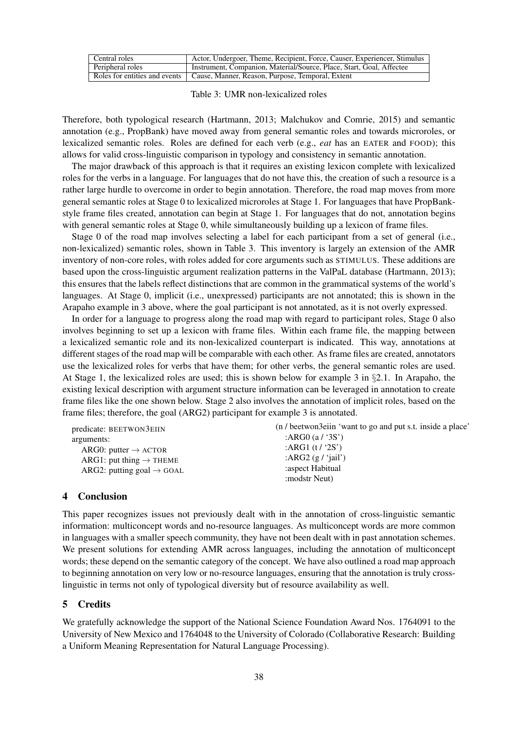| Central roles    | Actor, Undergoer, Theme, Recipient, Force, Causer, Experiencer, Stimulus         |
|------------------|----------------------------------------------------------------------------------|
| Peripheral roles | Instrument, Companion, Material/Source, Place, Start, Goal, Affectee             |
|                  | Roles for entities and events   Cause, Manner, Reason, Purpose, Temporal, Extent |

#### Table 3: UMR non-lexicalized roles

Therefore, both typological research (Hartmann, 2013; Malchukov and Comrie, 2015) and semantic annotation (e.g., PropBank) have moved away from general semantic roles and towards microroles, or lexicalized semantic roles. Roles are defined for each verb (e.g., *eat* has an EATER and FOOD); this allows for valid cross-linguistic comparison in typology and consistency in semantic annotation.

The major drawback of this approach is that it requires an existing lexicon complete with lexicalized roles for the verbs in a language. For languages that do not have this, the creation of such a resource is a rather large hurdle to overcome in order to begin annotation. Therefore, the road map moves from more general semantic roles at Stage 0 to lexicalized microroles at Stage 1. For languages that have PropBankstyle frame files created, annotation can begin at Stage 1. For languages that do not, annotation begins with general semantic roles at Stage 0, while simultaneously building up a lexicon of frame files.

Stage 0 of the road map involves selecting a label for each participant from a set of general (i.e., non-lexicalized) semantic roles, shown in Table 3. This inventory is largely an extension of the AMR inventory of non-core roles, with roles added for core arguments such as STIMULUS. These additions are based upon the cross-linguistic argument realization patterns in the ValPaL database (Hartmann, 2013); this ensures that the labels reflect distinctions that are common in the grammatical systems of the world's languages. At Stage 0, implicit (i.e., unexpressed) participants are not annotated; this is shown in the Arapaho example in 3 above, where the goal participant is not annotated, as it is not overly expressed.

In order for a language to progress along the road map with regard to participant roles, Stage 0 also involves beginning to set up a lexicon with frame files. Within each frame file, the mapping between a lexicalized semantic role and its non-lexicalized counterpart is indicated. This way, annotations at different stages of the road map will be comparable with each other. As frame files are created, annotators use the lexicalized roles for verbs that have them; for other verbs, the general semantic roles are used. At Stage 1, the lexicalized roles are used; this is shown below for example 3 in  $\S$ 2.1. In Arapaho, the existing lexical description with argument structure information can be leveraged in annotation to create frame files like the one shown below. Stage 2 also involves the annotation of implicit roles, based on the frame files; therefore, the goal (ARG2) participant for example 3 is annotated.

predicate: BEETWON3EIIN arguments: ARG0: putter  $\rightarrow$  ACTOR ARG1: put thing  $\rightarrow$  THEME ARG2: putting goal  $\rightarrow$  GOAL (n / beetwon3eiin 'want to go and put s.t. inside a place' :ARG0 (a / '3S') :ARG1 (t / '2S') :ARG2 (g / 'jail') :aspect Habitual :modstr Neut)

## 4 Conclusion

This paper recognizes issues not previously dealt with in the annotation of cross-linguistic semantic information: multiconcept words and no-resource languages. As multiconcept words are more common in languages with a smaller speech community, they have not been dealt with in past annotation schemes. We present solutions for extending AMR across languages, including the annotation of multiconcept words; these depend on the semantic category of the concept. We have also outlined a road map approach to beginning annotation on very low or no-resource languages, ensuring that the annotation is truly crosslinguistic in terms not only of typological diversity but of resource availability as well.

## 5 Credits

We gratefully acknowledge the support of the National Science Foundation Award Nos. 1764091 to the University of New Mexico and 1764048 to the University of Colorado (Collaborative Research: Building a Uniform Meaning Representation for Natural Language Processing).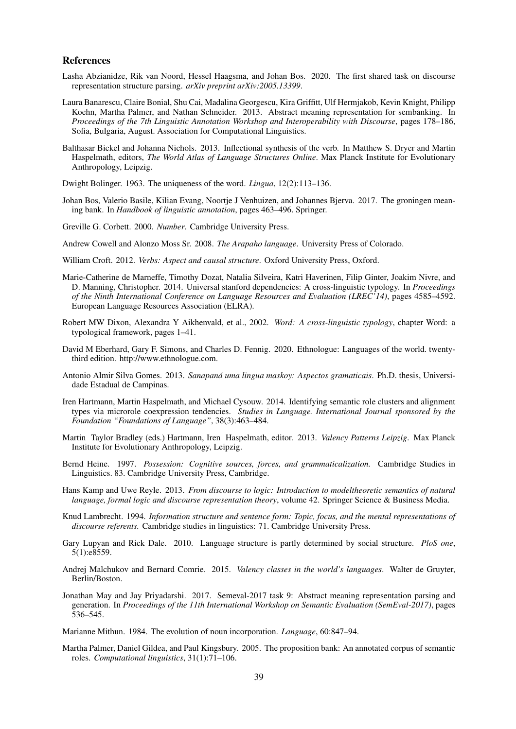#### References

- Lasha Abzianidze, Rik van Noord, Hessel Haagsma, and Johan Bos. 2020. The first shared task on discourse representation structure parsing. *arXiv preprint arXiv:2005.13399*.
- Laura Banarescu, Claire Bonial, Shu Cai, Madalina Georgescu, Kira Griffitt, Ulf Hermjakob, Kevin Knight, Philipp Koehn, Martha Palmer, and Nathan Schneider. 2013. Abstract meaning representation for sembanking. In *Proceedings of the 7th Linguistic Annotation Workshop and Interoperability with Discourse*, pages 178–186, Sofia, Bulgaria, August. Association for Computational Linguistics.
- Balthasar Bickel and Johanna Nichols. 2013. Inflectional synthesis of the verb. In Matthew S. Dryer and Martin Haspelmath, editors, *The World Atlas of Language Structures Online*. Max Planck Institute for Evolutionary Anthropology, Leipzig.
- Dwight Bolinger. 1963. The uniqueness of the word. *Lingua*, 12(2):113–136.
- Johan Bos, Valerio Basile, Kilian Evang, Noortje J Venhuizen, and Johannes Bjerva. 2017. The groningen meaning bank. In *Handbook of linguistic annotation*, pages 463–496. Springer.
- Greville G. Corbett. 2000. *Number*. Cambridge University Press.
- Andrew Cowell and Alonzo Moss Sr. 2008. *The Arapaho language*. University Press of Colorado.
- William Croft. 2012. *Verbs: Aspect and causal structure*. Oxford University Press, Oxford.
- Marie-Catherine de Marneffe, Timothy Dozat, Natalia Silveira, Katri Haverinen, Filip Ginter, Joakim Nivre, and D. Manning, Christopher. 2014. Universal stanford dependencies: A cross-linguistic typology. In *Proceedings of the Ninth International Conference on Language Resources and Evaluation (LREC'14)*, pages 4585–4592. European Language Resources Association (ELRA).
- Robert MW Dixon, Alexandra Y Aikhenvald, et al., 2002. *Word: A cross-linguistic typology*, chapter Word: a typological framework, pages 1–41.
- David M Eberhard, Gary F. Simons, and Charles D. Fennig. 2020. Ethnologue: Languages of the world. twentythird edition. http://www.ethnologue.com.
- Antonio Almir Silva Gomes. 2013. *Sanapana uma lingua maskoy: Aspectos gramaticais ´* . Ph.D. thesis, Universidade Estadual de Campinas.
- Iren Hartmann, Martin Haspelmath, and Michael Cysouw. 2014. Identifying semantic role clusters and alignment types via microrole coexpression tendencies. *Studies in Language. International Journal sponsored by the Foundation "Foundations of Language"*, 38(3):463–484.
- Martin Taylor Bradley (eds.) Hartmann, Iren Haspelmath, editor. 2013. *Valency Patterns Leipzig*. Max Planck Institute for Evolutionary Anthropology, Leipzig.
- Bernd Heine. 1997. *Possession: Cognitive sources, forces, and grammaticalization.* Cambridge Studies in Linguistics. 83. Cambridge University Press, Cambridge.
- Hans Kamp and Uwe Reyle. 2013. *From discourse to logic: Introduction to modeltheoretic semantics of natural language, formal logic and discourse representation theory*, volume 42. Springer Science & Business Media.
- Knud Lambrecht. 1994. *Information structure and sentence form: Topic, focus, and the mental representations of discourse referents.* Cambridge studies in linguistics: 71. Cambridge University Press.
- Gary Lupyan and Rick Dale. 2010. Language structure is partly determined by social structure. *PloS one*, 5(1):e8559.
- Andrej Malchukov and Bernard Comrie. 2015. *Valency classes in the world's languages*. Walter de Gruyter, Berlin/Boston.
- Jonathan May and Jay Priyadarshi. 2017. Semeval-2017 task 9: Abstract meaning representation parsing and generation. In *Proceedings of the 11th International Workshop on Semantic Evaluation (SemEval-2017)*, pages 536–545.
- Marianne Mithun. 1984. The evolution of noun incorporation. *Language*, 60:847–94.
- Martha Palmer, Daniel Gildea, and Paul Kingsbury. 2005. The proposition bank: An annotated corpus of semantic roles. *Computational linguistics*, 31(1):71–106.